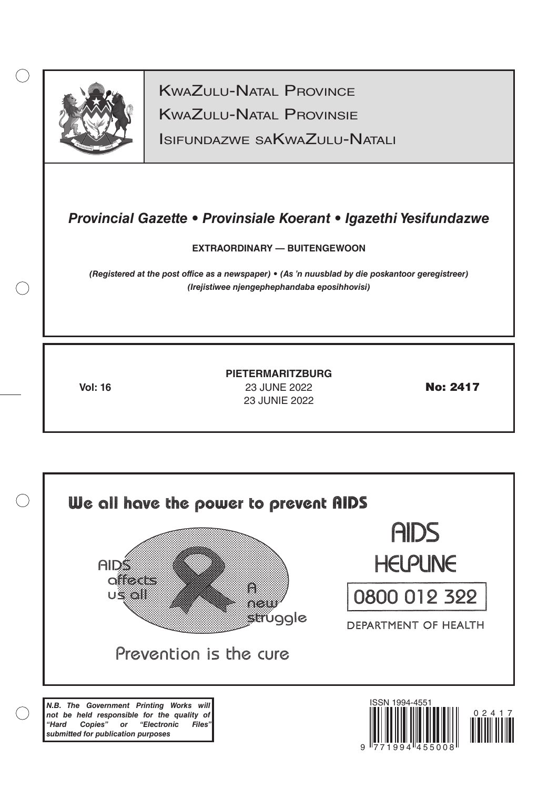

 $(\ )$ 

KwaZulu-Natal Provinsie KwaZulu-Natal Province

Isifundazwe saKwaZulu-Natali

# *Provincial Gazette • Provinsiale Koerant • Igazethi Yesifundazwe*

**Extraordinary — Buitengewoon**

*(Registered at the post office as a newspaper) • (As 'n nuusblad by die poskantoor geregistreer) (Irejistiwee njengephephandaba eposihhovisi)*

**Vol: 16** 23 JUNE 2022 **No: 2417 PIETERMARITZBURG** 23 Junie 2022

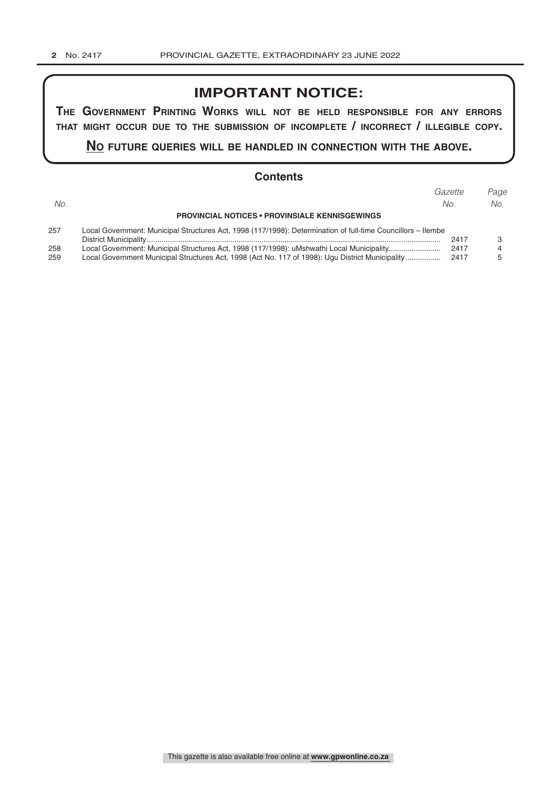# **IMPORTANT NOTICE:**

**The GovernmenT PrinTinG Works Will noT be held resPonsible for any errors ThaT miGhT occur due To The submission of incomPleTe / incorrecT / illeGible coPy.**

**no fuTure queries Will be handled in connecTion WiTh The above.**

#### **Contents**

|     |                                                                                                              | Gazette | Page |
|-----|--------------------------------------------------------------------------------------------------------------|---------|------|
| No. |                                                                                                              | No.     | No.  |
|     | <b>PROVINCIAL NOTICES • PROVINSIALE KENNISGEWINGS</b>                                                        |         |      |
| 257 | Local Government: Municipal Structures Act, 1998 (117/1998): Determination of full-time Councillors - Ilembe |         |      |
|     |                                                                                                              | 2417    |      |
| 258 | Local Government: Municipal Structures Act, 1998 (117/1998): uMshwathi Local Municipality                    | 2417    |      |
| 259 | Local Government Municipal Structures Act, 1998 (Act No. 117 of 1998): Ugu District Municipality             | 2417    |      |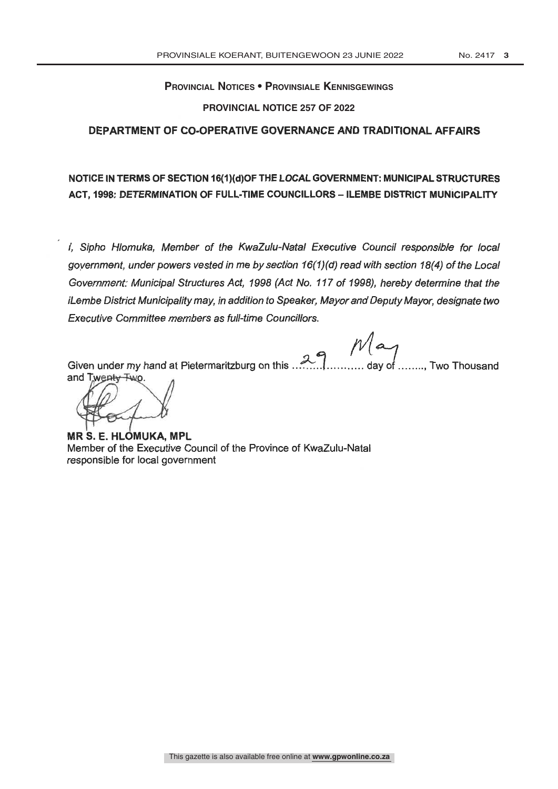#### **Provincial Notices • Provinsiale Kennisgewings**

### **PROVINCIAL NOTICE 257 OF 2022**

### DEPARTMENT OF CO-OPERATIVE GOVERNANCE AND TRADITIONAL AFFAIRS

# NOTICE IN TERMS OF SECTION 16(1)(d)OF THE LOCAL GOVERNMENT: MUNICIPAL STRUCTURES ACT, 1998: DETERMINATION OF FULL-TIME COUNCILLORS - ILEMBE DISTRICT MUNICIPALITY

I, Sipho Hlomuka, Member of the KwaZulu-Natal Executive Council responsible for local government, under powers vested in me by section 16(1)(d) read with section 18(4) of the Local Government: Municipal Structures Act, 1998 (Act No. 117 of 1998), hereby determine that the iLembe District Municipality may, in addition to Speaker, Mayor and Deputy Mayor, designate two Executive Committee members as full-time Councillors.

 $29$   $Maj$ 

Given under my hand at Pietermaritzburg on this. of ……… Two Thousand and Twenty Two.

**MR S. E. HLOMUKA, MPL** Member of the Executive Council of the Province of KwaZulu-Natal responsible for local government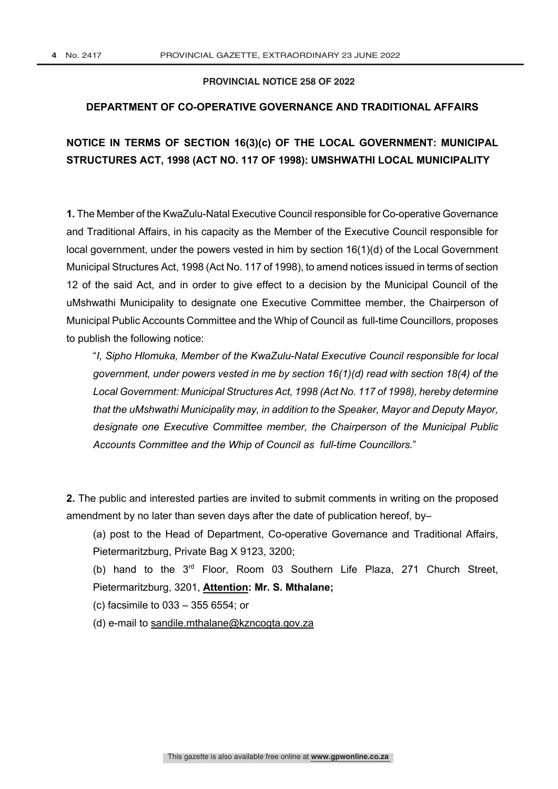#### **PROVINCIAL NOTICE 258 OF 2022**

### **DEPARTMENT OF CO-OPERATIVE GOVERNANCE AND TRADITIONAL AFFAIRS**

# **NOTICE IN TERMS OF SECTION 16(3)(c) OF THE LOCAL GOVERNMENT: MUNICIPAL STRUCTURES ACT, 1998 (ACT NO. 117 OF 1998): UMSHWATHI LOCAL MUNICIPALITY**

**1.** The Member of the KwaZulu-Natal Executive Council responsible for Co-operative Governance and Traditional Affairs, in his capacity as the Member of the Executive Council responsible for local government, under the powers vested in him by section 16(1)(d) of the Local Government Municipal Structures Act, 1998 (Act No. 117 of 1998), to amend notices issued in terms of section 12 of the said Act, and in order to give effect to a decision by the Municipal Council of the uMshwathi Municipality to designate one Executive Committee member, the Chairperson of Municipal Public Accounts Committee and the Whip of Council as full-time Councillors, proposes to publish the following notice:

"*I, Sipho Hlomuka, Member of the KwaZulu-Natal Executive Council responsible for local government, under powers vested in me by section 16(1)(d) read with section 18(4) of the Local Government: Municipal Structures Act, 1998 (Act No. 117 of 1998), hereby determine that the uMshwathi Municipality may, in addition to the Speaker, Mayor and Deputy Mayor, designate one Executive Committee member, the Chairperson of the Municipal Public Accounts Committee and the Whip of Council as full-time Councillors.*"

**2.** The public and interested parties are invited to submit comments in writing on the proposed amendment by no later than seven days after the date of publication hereof, by–

(a) post to the Head of Department, Co-operative Governance and Traditional Affairs, Pietermaritzburg, Private Bag X 9123, 3200;

(b) hand to the 3rd Floor, Room 03 Southern Life Plaza, 271 Church Street, Pietermaritzburg, 3201, **Attention: Mr. S. Mthalane;**

(c) facsimile to 033 – 355 6554; or

(d) e-mail to sandile.mthalane@kzncogta.gov.za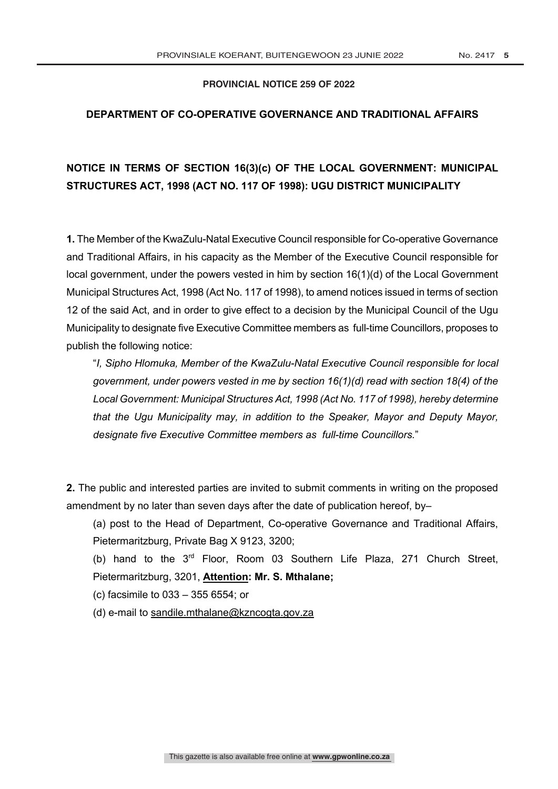### **PROVINCIAL NOTICE 259 OF 2022**

## **DEPARTMENT OF CO-OPERATIVE GOVERNANCE AND TRADITIONAL AFFAIRS**

# **NOTICE IN TERMS OF SECTION 16(3)(c) OF THE LOCAL GOVERNMENT: MUNICIPAL STRUCTURES ACT, 1998 (ACT NO. 117 OF 1998): UGU DISTRICT MUNICIPALITY**

**1.** The Member of the KwaZulu-Natal Executive Council responsible for Co-operative Governance and Traditional Affairs, in his capacity as the Member of the Executive Council responsible for local government, under the powers vested in him by section 16(1)(d) of the Local Government Municipal Structures Act, 1998 (Act No. 117 of 1998), to amend notices issued in terms of section 12 of the said Act, and in order to give effect to a decision by the Municipal Council of the Ugu Municipality to designate five Executive Committee members as full-time Councillors, proposes to publish the following notice:

"*I, Sipho Hlomuka, Member of the KwaZulu-Natal Executive Council responsible for local government, under powers vested in me by section 16(1)(d) read with section 18(4) of the Local Government: Municipal Structures Act, 1998 (Act No. 117 of 1998), hereby determine that the Ugu Municipality may, in addition to the Speaker, Mayor and Deputy Mayor, designate five Executive Committee members as full-time Councillors.*"

**2.** The public and interested parties are invited to submit comments in writing on the proposed amendment by no later than seven days after the date of publication hereof, by–

(a) post to the Head of Department, Co-operative Governance and Traditional Affairs, Pietermaritzburg, Private Bag X 9123, 3200;

(b) hand to the 3rd Floor, Room 03 Southern Life Plaza, 271 Church Street, Pietermaritzburg, 3201, **Attention: Mr. S. Mthalane;**

(c) facsimile to 033 – 355 6554; or

(d) e-mail to sandile.mthalane@kzncogta.gov.za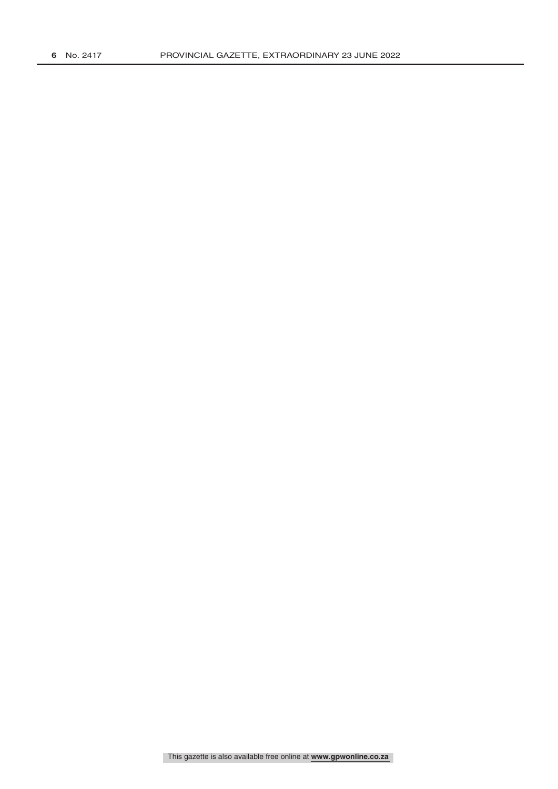This gazette is also available free online at **www.gpwonline.co.za**